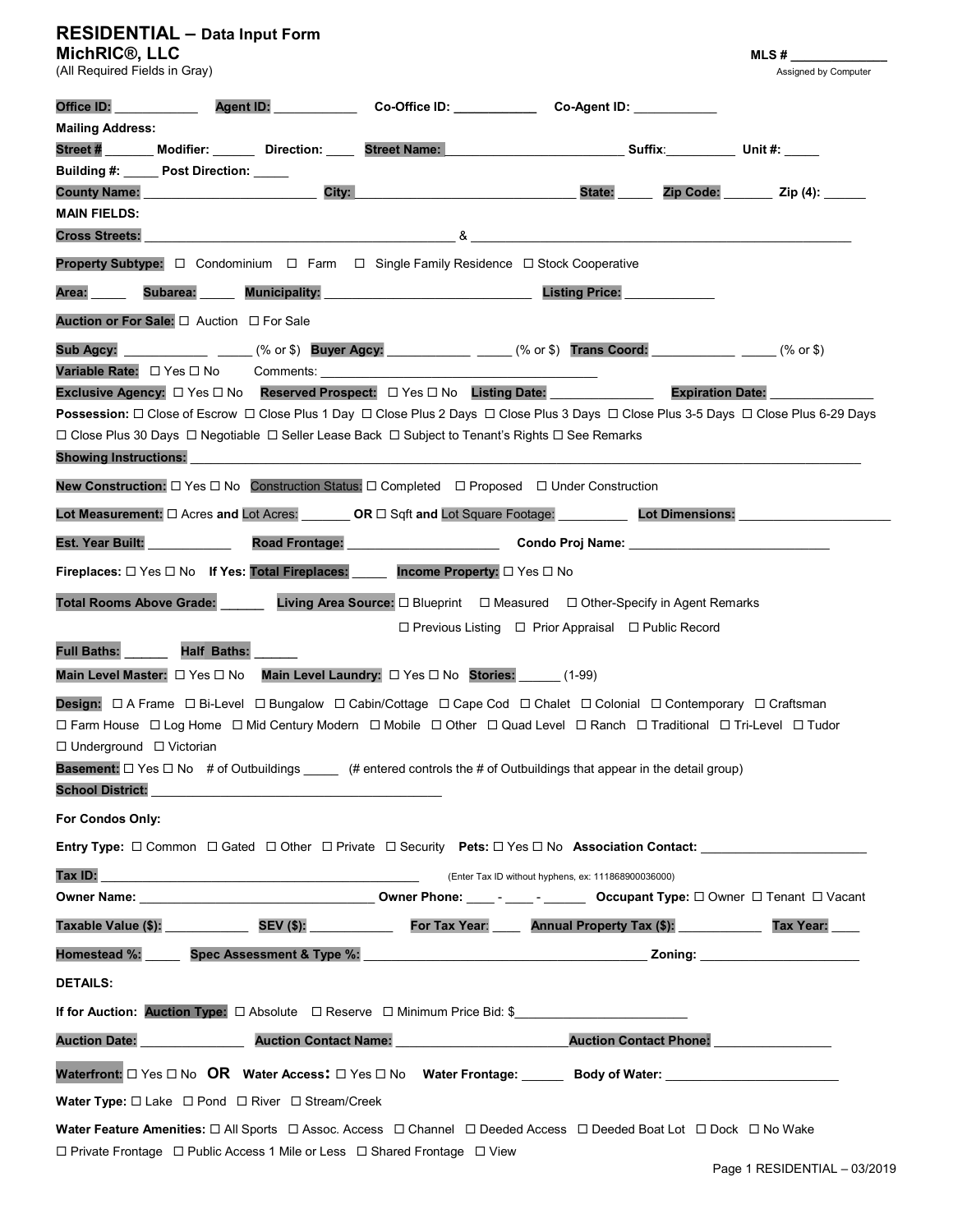# RESIDENTIAL – Data Input Form

| MichRIC <sup>®</sup> , LLC                 |                                                                                                                                                                                                                                              |                                                                                                                                       |                                                                                                                |                               | $MLS \#$                    |
|--------------------------------------------|----------------------------------------------------------------------------------------------------------------------------------------------------------------------------------------------------------------------------------------------|---------------------------------------------------------------------------------------------------------------------------------------|----------------------------------------------------------------------------------------------------------------|-------------------------------|-----------------------------|
| (All Required Fields in Gray)              |                                                                                                                                                                                                                                              |                                                                                                                                       |                                                                                                                |                               | <b>Assigned by Computer</b> |
| Office ID:                                 | Agent ID:                                                                                                                                                                                                                                    | ______________________Co-Office ID: _______________                                                                                   | Co-Agent ID: ___________                                                                                       |                               |                             |
| <b>Mailing Address:</b>                    |                                                                                                                                                                                                                                              |                                                                                                                                       |                                                                                                                |                               |                             |
|                                            | Street # Modifier: Direction: Street Name:                                                                                                                                                                                                   |                                                                                                                                       | <b>Suffix:</b> Unit #:                                                                                         |                               |                             |
| Building #: _____ Post Direction: _____    | City:<br><b>County Name:</b> Sound that the set of the set of the set of the set of the set of the set of the set of the set of the set of the set of the set of the set of the set of the set of the set of the set of the set of the set o |                                                                                                                                       | State:                                                                                                         |                               | Zip Code: Zip (4):          |
| <b>MAIN FIELDS:</b>                        |                                                                                                                                                                                                                                              |                                                                                                                                       |                                                                                                                |                               |                             |
| <b>Cross Streets:</b>                      |                                                                                                                                                                                                                                              |                                                                                                                                       |                                                                                                                |                               |                             |
|                                            |                                                                                                                                                                                                                                              | <b>Property Subtype:</b> $\Box$ Condominium $\Box$ Farm $\Box$ Single Family Residence $\Box$ Stock Cooperative                       |                                                                                                                |                               |                             |
| Area:                                      |                                                                                                                                                                                                                                              | Subarea: Municipality: Municipality:                                                                                                  | <b>Listing Price:</b>                                                                                          |                               |                             |
| Auction or For Sale:  □ Auction □ For Sale |                                                                                                                                                                                                                                              |                                                                                                                                       |                                                                                                                |                               |                             |
| Sub Agcy:                                  |                                                                                                                                                                                                                                              | $(% \text{ or } $)$ Buyer Agcy: $(% \text{ or } $)$ Trans Coord: $(% \text{ or } $)$                                                  |                                                                                                                |                               |                             |
| Variable Rate: □ Yes □ No                  | Comments: <b>Example</b>                                                                                                                                                                                                                     |                                                                                                                                       |                                                                                                                |                               |                             |
|                                            |                                                                                                                                                                                                                                              | Exclusive Agency: □ Yes □ No Reserved Prospect: □ Yes □ No Listing Date:                                                              |                                                                                                                | <b>Expiration Date:</b>       |                             |
|                                            |                                                                                                                                                                                                                                              | Possession: □ Close of Escrow □ Close Plus 1 Day □ Close Plus 2 Days □ Close Plus 3 Days □ Close Plus 3-5 Days □ Close Plus 6-29 Days |                                                                                                                |                               |                             |
| <b>Showing Instructions:</b>               |                                                                                                                                                                                                                                              | $□$ Close Plus 30 Days $□$ Negotiable $□$ Seller Lease Back $□$ Subject to Tenant's Rights $□$ See Remarks                            |                                                                                                                |                               |                             |
|                                            |                                                                                                                                                                                                                                              | New Construction: □ Yes □ No Construction Status: □ Completed □ Proposed □ Under Construction                                         |                                                                                                                |                               |                             |
|                                            |                                                                                                                                                                                                                                              | Lot Measurement: $\square$ Acres and Lot Acres: <b>OR <math>\square</math></b> Sqft and Lot Square Footage: <b>Lot Dimensions:</b>    |                                                                                                                |                               |                             |
| Est. Year Built:                           |                                                                                                                                                                                                                                              | Road Frontage: New York New York 1997                                                                                                 | Condo Proj Name: Analysis of the Condo Projector and the Condo Projector and the Condo Projector and the Condo |                               |                             |
|                                            |                                                                                                                                                                                                                                              | Fireplaces: $\Box$ Yes $\Box$ No If Yes: Total Fireplaces: Income Property: $\Box$ Yes $\Box$ No                                      |                                                                                                                |                               |                             |
| <b>Total Rooms Above Grade:</b>            |                                                                                                                                                                                                                                              | Living Area Source: □ Blueprint □ Measured □ Other-Specify in Agent Remarks                                                           |                                                                                                                |                               |                             |
|                                            |                                                                                                                                                                                                                                              |                                                                                                                                       | $\Box$ Previous Listing $\Box$ Prior Appraisal $\Box$ Public Record                                            |                               |                             |
| <b>Full Baths:</b>                         | <b>Half Baths:</b>                                                                                                                                                                                                                           |                                                                                                                                       |                                                                                                                |                               |                             |
|                                            |                                                                                                                                                                                                                                              | Main Level Master: $\Box$ Yes $\Box$ No Main Level Laundry: $\Box$ Yes $\Box$ No Stories: (1-99)                                      |                                                                                                                |                               |                             |
|                                            |                                                                                                                                                                                                                                              | <b>Design:</b> □ A Frame □ Bi-Level □ Bungalow □ Cabin/Cottage □ Cape Cod □ Chalet □ Colonial □ Contemporary □ Craftsman              |                                                                                                                |                               |                             |
|                                            |                                                                                                                                                                                                                                              | □ Farm House □ Log Home □ Mid Century Modern □ Mobile □ Other □ Quad Level □ Ranch □ Traditional □ Tri-Level □ Tudor                  |                                                                                                                |                               |                             |
| □ Underground □ Victorian                  |                                                                                                                                                                                                                                              |                                                                                                                                       |                                                                                                                |                               |                             |
|                                            |                                                                                                                                                                                                                                              | Basement: $\Box$ Yes $\Box$ No # of Outbuildings _______ (# entered controls the # of Outbuildings that appear in the detail group)   |                                                                                                                |                               |                             |
| <b>School District:</b>                    |                                                                                                                                                                                                                                              |                                                                                                                                       |                                                                                                                |                               |                             |
| For Condos Only:                           |                                                                                                                                                                                                                                              |                                                                                                                                       |                                                                                                                |                               |                             |
|                                            |                                                                                                                                                                                                                                              | Entry Type: □ Common □ Gated □ Other □ Private □ Security Pets: □ Yes □ No Association Contact:                                       |                                                                                                                |                               |                             |
| Tax ID:                                    |                                                                                                                                                                                                                                              |                                                                                                                                       | (Enter Tax ID without hyphens, ex: 111868900036000)                                                            |                               |                             |
|                                            |                                                                                                                                                                                                                                              |                                                                                                                                       |                                                                                                                |                               |                             |
|                                            |                                                                                                                                                                                                                                              | Taxable Value (\$):        SEV (\$):        For Tax Year:    Annual Property Tax (\$):       Tax Year:                                |                                                                                                                |                               |                             |
|                                            |                                                                                                                                                                                                                                              |                                                                                                                                       |                                                                                                                |                               |                             |
| <b>DETAILS:</b>                            |                                                                                                                                                                                                                                              |                                                                                                                                       |                                                                                                                |                               |                             |
|                                            |                                                                                                                                                                                                                                              | If for Auction: Auction Type: □ Absolute □ Reserve □ Minimum Price Bid: \$_________________________                                   |                                                                                                                |                               |                             |
| <b>Auction Date:</b>                       |                                                                                                                                                                                                                                              | Auction Contact Name: 2008                                                                                                            |                                                                                                                | Auction Contact Phone: [1984] |                             |
|                                            |                                                                                                                                                                                                                                              | Waterfront: La Yes La No OR Water Access: La Yes La No Water Frontage: ______ Body of Water: _________________________                |                                                                                                                |                               |                             |
|                                            | <b>Water Type:</b> $\Box$ Lake $\Box$ Pond $\Box$ River $\Box$ Stream/Creek                                                                                                                                                                  |                                                                                                                                       |                                                                                                                |                               |                             |
|                                            |                                                                                                                                                                                                                                              | Water Feature Amenities: □ All Sports □ Assoc. Access □ Channel □ Deeded Access □ Deeded Boat Lot □ Dock □ No Wake                    |                                                                                                                |                               |                             |
|                                            |                                                                                                                                                                                                                                              | $\Box$ Private Frontage $\Box$ Public Access 1 Mile or Less $\Box$ Shared Frontage $\Box$ View                                        |                                                                                                                |                               |                             |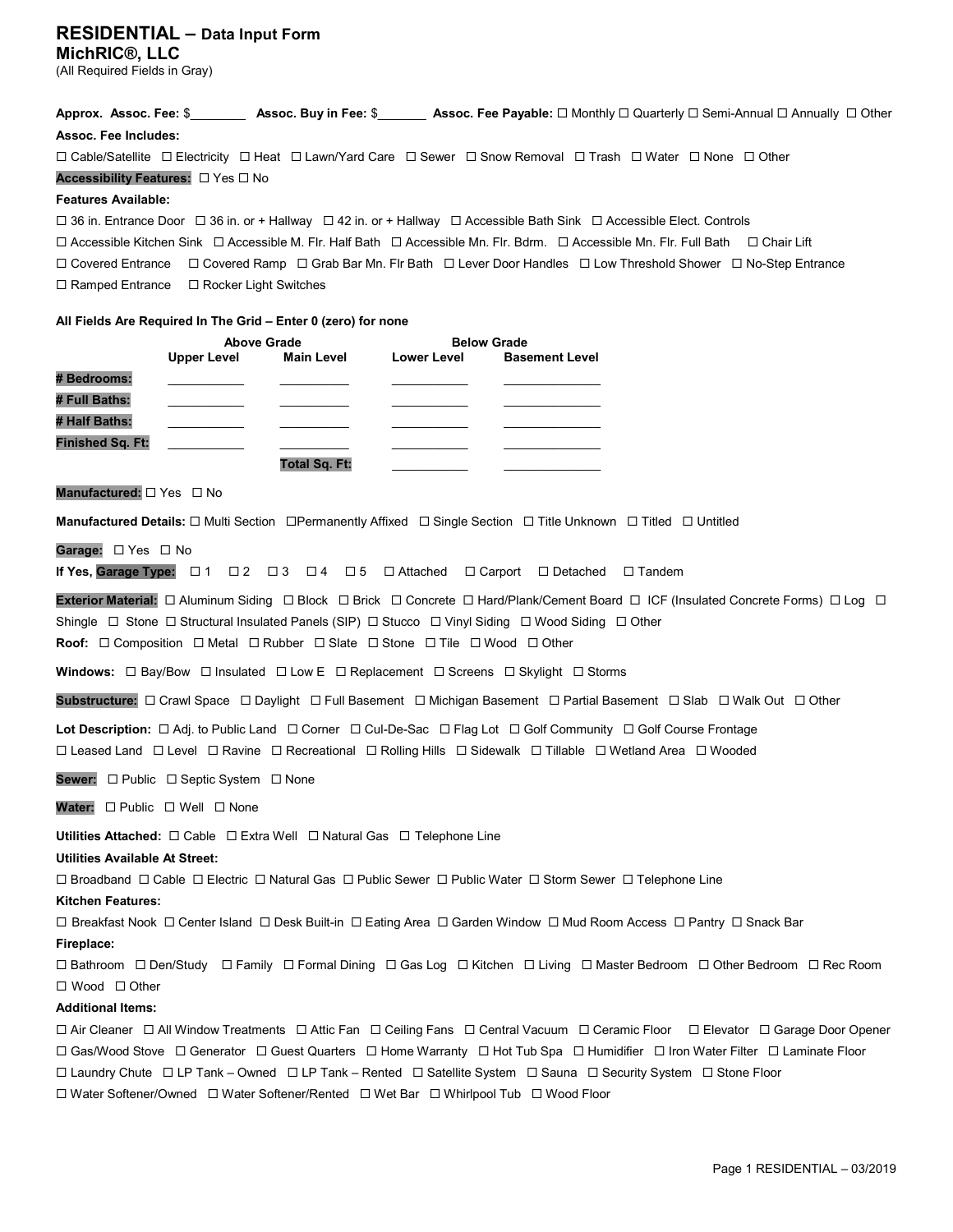### RESIDENTIAL – Data Input Form MichRIC®, LLC

(All Required Fields in Gray)

Approx. Assoc. Fee: \$\_\_\_\_\_\_\_\_ Assoc. Buy in Fee: \$\_\_\_\_\_\_\_ Assoc. Fee Payable:  $\Box$  Monthly  $\Box$  Quarterly  $\Box$  Semi-Annual  $\Box$  Annually  $\Box$  Other Assoc. Fee Includes:

Cable/Satellite Electricity Heat Lawn/Yard Care Sewer Snow Removal Trash Water None Other

Accessibility Features:  $\Box$  Yes  $\Box$  No

#### Features Available:

 $\Box$  36 in. Entrance Door  $\Box$  36 in. or + Hallway  $\Box$  42 in. or + Hallway  $\Box$  Accessible Bath Sink  $\Box$  Accessible Elect. Controls

 $\Box$  Accessible Kitchen Sink  $\Box$  Accessible M. Flr. Half Bath  $\Box$  Accessible Mn. Flr. Bdrm.  $\Box$  Accessible Mn. Flr. Full Bath  $\Box$  Chair Lift Covered Entrance Covered Ramp Grab Bar Mn. Flr Bath Lever Door Handles Low Threshold Shower No-Step Entrance

 $\Box$  Ramped Entrance  $\Box$  Rocker Light Switches

#### All Fields Are Required In The Grid – Enter 0 (zero) for none

|                         | <b>Above Grade</b> |                      | <b>Below Grade</b> |                       |
|-------------------------|--------------------|----------------------|--------------------|-----------------------|
|                         | <b>Upper Level</b> | <b>Main Level</b>    | <b>Lower Level</b> | <b>Basement Level</b> |
| # Bedrooms:             |                    |                      |                    |                       |
| # Full Baths:           |                    |                      |                    |                       |
| # Half Baths:           |                    |                      |                    |                       |
| <b>Finished Sq. Ft:</b> |                    |                      |                    |                       |
|                         |                    | <b>Total Sq. Ft:</b> |                    |                       |

Manufactured:  $\Box$  Yes  $\Box$  No

Manufactured Details:  $\Box$  Multi Section  $\Box$ Permanently Affixed  $\Box$  Single Section  $\Box$  Title Unknown  $\Box$  Titled  $\Box$  Untitled

Garage:  $\Box$  Yes  $\Box$  No

If Yes, Garage Type:  $\Box$  1  $\Box$  2  $\Box$  3  $\Box$  4  $\Box$  5  $\Box$  Attached  $\Box$  Carport  $\Box$  Detached  $\Box$  Tandem

Exterior Material:  $\Box$  Aluminum Siding  $\Box$  Block  $\Box$  Brick  $\Box$  Concrete  $\Box$  Hard/Plank/Cement Board  $\Box$  ICF (Insulated Concrete Forms)  $\Box$  Log  $\Box$ Shingle  $\Box$  Stone  $\Box$  Structural Insulated Panels (SIP)  $\Box$  Stucco  $\Box$  Vinyl Siding  $\Box$  Wood Siding  $\Box$  Other **Roof:**  $\Box$  Composition  $\Box$  Metal  $\Box$  Rubber  $\Box$  Slate  $\Box$  Stone  $\Box$  Tile  $\Box$  Wood  $\Box$  Other

Windows:  $\Box$  Bay/Bow  $\Box$  Insulated  $\Box$  Low E  $\Box$  Replacement  $\Box$  Screens  $\Box$  Skylight  $\Box$  Storms

Substructure:  $\Box$  Crawl Space  $\Box$  Daylight  $\Box$  Full Basement  $\Box$  Michigan Basement  $\Box$  Partial Basement  $\Box$  Slab  $\Box$  Walk Out  $\Box$  Other

Lot Description:  $\Box$  Adj. to Public Land  $\Box$  Corner  $\Box$  Cul-De-Sac  $\Box$  Flag Lot  $\Box$  Golf Community  $\Box$  Golf Course Frontage Leased Land Level Ravine Recreational Rolling Hills Sidewalk Tillable Wetland Area Wooded

Sewer: □ Public □ Septic System □ None

Water:  $\square$  Public  $\square$  Well  $\square$  None

Utilities Attached:  $\Box$  Cable  $\Box$  Extra Well  $\Box$  Natural Gas  $\Box$  Telephone Line

Utilities Available At Street:

 $\Box$  Broadband  $\Box$  Cable  $\Box$  Electric  $\Box$  Natural Gas  $\Box$  Public Sewer  $\Box$  Public Water  $\Box$  Storm Sewer  $\Box$  Telephone Line

Kitchen Features:

□ Breakfast Nook □ Center Island □ Desk Built-in □ Eating Area □ Garden Window □ Mud Room Access □ Pantry □ Snack Bar

#### Fireplace:

 Bathroom Den/Study Family Formal Dining Gas Log Kitchen Living Master Bedroom Other Bedroom Rec Room □ Wood □ Other

#### Additional Items:

 $\Box$  Air Cleaner  $\Box$  All Window Treatments  $\Box$  Attic Fan  $\Box$  Ceiling Fans  $\Box$  Central Vacuum  $\Box$  Ceramic Floor  $\Box$  Elevator  $\Box$  Garage Door Opener Gas/Wood Stove Generator Guest Quarters Home Warranty Hot Tub Spa Humidifier Iron Water Filter Laminate Floor  $\Box$  Laundry Chute  $\Box$  LP Tank – Owned  $\Box$  LP Tank – Rented  $\Box$  Satellite System  $\Box$  Sauna  $\Box$  Security System  $\Box$  Stone Floor Water Softener/Owned Water Softener/Rented Wet Bar Whirlpool Tub Wood Floor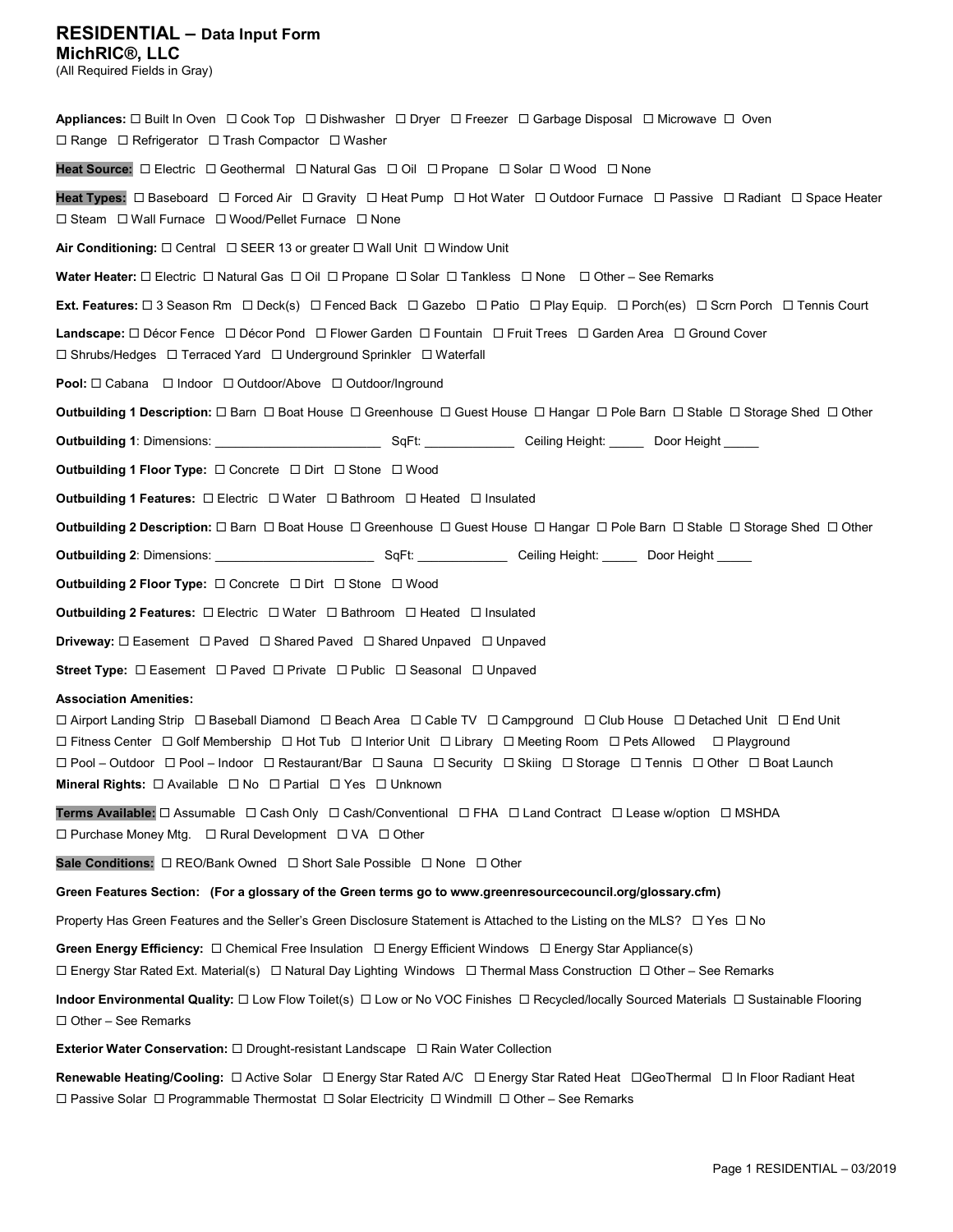## RESIDENTIAL – Data Input Form

MichRIC®, LLC (All Required Fields in Gray)

Appliances:  $\Box$  Built In Oven  $\Box$  Cook Top  $\Box$  Dishwasher  $\Box$  Dryer  $\Box$  Freezer  $\Box$  Garbage Disposal  $\Box$  Microwave  $\Box$  Oven  $\Box$  Range  $\Box$  Refrigerator  $\Box$  Trash Compactor  $\Box$  Washer Heat Source:  $\Box$  Electric  $\Box$  Geothermal  $\Box$  Natural Gas  $\Box$  Oil  $\Box$  Propane  $\Box$  Solar  $\Box$  Wood  $\Box$  None Heat Types:  $\Box$  Baseboard  $\Box$  Forced Air  $\Box$  Gravity  $\Box$  Heat Pump  $\Box$  Hot Water  $\Box$  Outdoor Furnace  $\Box$  Passive  $\Box$  Radiant  $\Box$  Space Heater  $\Box$  Steam  $\Box$  Wall Furnace  $\Box$  Wood/Pellet Furnace  $\Box$  None Air Conditioning:  $\Box$  Central  $\Box$  SEER 13 or greater  $\Box$  Wall Unit  $\Box$  Window Unit Water Heater:  $\Box$  Electric  $\Box$  Natural Gas  $\Box$  Oil  $\Box$  Propane  $\Box$  Solar  $\Box$  Tankless  $\Box$  None  $\Box$  Other – See Remarks Ext. Features:  $\Box$  3 Season Rm  $\Box$  Deck(s)  $\Box$  Fenced Back  $\Box$  Gazebo  $\Box$  Patio  $\Box$  Play Equip.  $\Box$  Porch(es)  $\Box$  Scrn Porch  $\Box$  Tennis Court Landscape:  $\Box$  Décor Fence  $\Box$  Décor Pond  $\Box$  Flower Garden  $\Box$  Fountain  $\Box$  Fruit Trees  $\Box$  Garden Area  $\Box$  Ground Cover  $\square$  Shrubs/Hedges  $\square$  Terraced Yard  $\square$  Underground Sprinkler  $\square$  Waterfall Pool: Cabana Indoor Outdoor/Above Outdoor/Inground Outbuilding 1 Description:  $\Box$  Barn  $\Box$  Boat House  $\Box$  Greenhouse  $\Box$  Guest House  $\Box$  Hangar  $\Box$  Pole Barn  $\Box$  Stable  $\Box$  Storage Shed  $\Box$  Other Outbuilding 1: Dimensions: \_\_\_\_\_\_\_\_\_\_\_\_\_\_\_\_\_\_\_\_\_\_\_\_ SqFt: \_\_\_\_\_\_\_\_\_\_\_\_\_ Ceiling Height: \_\_\_\_\_ Door Height \_\_\_\_\_ Outbuilding 1 Floor Type: Concrete Dirt Stone Wood **Outbuilding 1 Features:**  $\Box$  Electric  $\Box$  Water  $\Box$  Bathroom  $\Box$  Heated  $\Box$  Insulated Outbuilding 2 Description:  $\Box$  Barn  $\Box$  Boat House  $\Box$  Greenhouse  $\Box$  Guest House  $\Box$  Hangar  $\Box$  Pole Barn  $\Box$  Stable  $\Box$  Storage Shed  $\Box$  Other Outbuilding 2: Dimensions: \_\_\_\_\_\_\_\_\_\_\_\_\_\_\_\_\_\_\_\_\_\_\_ SqFt: \_\_\_\_\_\_\_\_\_\_\_\_\_ Ceiling Height: \_\_\_\_\_ Door Height \_\_\_\_\_ Outbuilding 2 Floor Type:  $\square$  Concrete  $\square$  Dirt  $\square$  Stone  $\square$  Wood **Outbuilding 2 Features:**  $\Box$  Electric  $\Box$  Water  $\Box$  Bathroom  $\Box$  Heated  $\Box$  Insulated Driveway: Easement Paved Shared Paved Shared Unpaved Unpaved Street Type:  $\Box$  Easement  $\Box$  Paved  $\Box$  Private  $\Box$  Public  $\Box$  Seasonal  $\Box$  Unpaved Association Amenities: Airport Landing Strip Baseball Diamond Beach Area Cable TV Campground Club House Detached Unit End Unit □ Fitness Center □ Golf Membership □ Hot Tub □ Interior Unit □ Library □ Meeting Room □ Pets Allowed □ Playground

 Pool – Outdoor Pool – Indoor Restaurant/Bar Sauna Security Skiing Storage Tennis Other Boat Launch Mineral Rights:  $\Box$  Available  $\Box$  No  $\Box$  Partial  $\Box$  Yes  $\Box$  Unknown

Terms Available:  $\Box$  Assumable  $\Box$  Cash Only  $\Box$  Cash/Conventional  $\Box$  FHA  $\Box$  Land Contract  $\Box$  Lease w/option  $\Box$  MSHDA  $\Box$  Purchase Money Mtg.  $\Box$  Rural Development  $\Box$  VA  $\Box$  Other

Sale Conditions:  $\Box$  REO/Bank Owned  $\Box$  Short Sale Possible  $\Box$  None  $\Box$  Other

Green Features Section: (For a glossary of the Green terms go to www.greenresourcecouncil.org/glossary.cfm)

Property Has Green Features and the Seller's Green Disclosure Statement is Attached to the Listing on the MLS?  $\Box$  Yes  $\Box$  No

Green Energy Efficiency:  $\Box$  Chemical Free Insulation  $\Box$  Energy Efficient Windows  $\Box$  Energy Star Appliance(s)

Energy Star Rated Ext. Material(s) Natural Day Lighting Windows Thermal Mass Construction Other – See Remarks

Indoor Environmental Quality:  $\Box$  Low Flow Toilet(s)  $\Box$  Low or No VOC Finishes  $\Box$  Recycled/locally Sourced Materials  $\Box$  Sustainable Flooring  $\Box$  Other – See Remarks

Exterior Water Conservation:  $\Box$  Drought-resistant Landscape  $\Box$  Rain Water Collection

Renewable Heating/Cooling:  $\Box$  Active Solar  $\Box$  Energy Star Rated A/C  $\Box$  Energy Star Rated Heat  $\Box$  GeoThermal  $\Box$  In Floor Radiant Heat  $\Box$  Passive Solar  $\Box$  Programmable Thermostat  $\Box$  Solar Electricity  $\Box$  Windmill  $\Box$  Other – See Remarks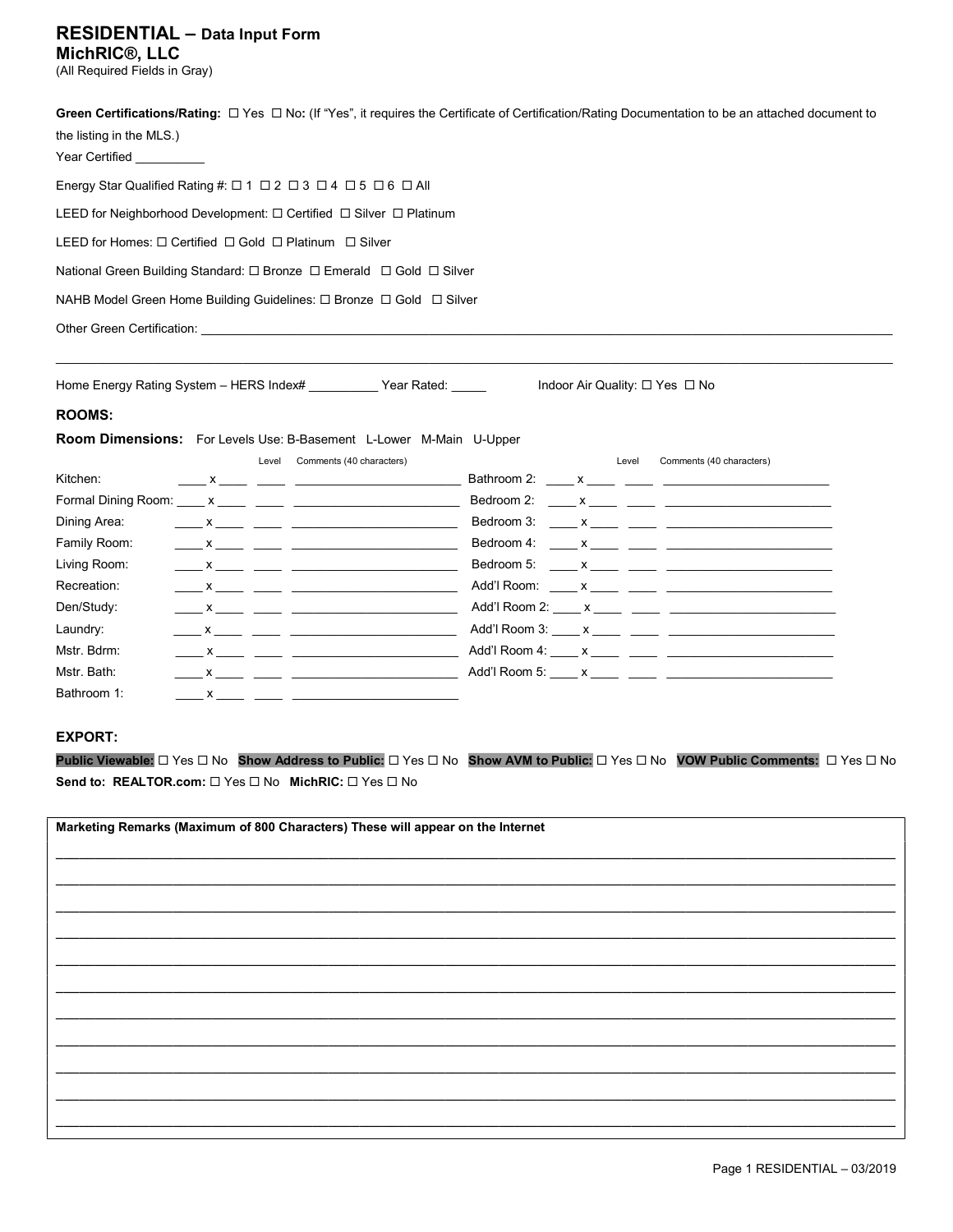### RESIDENTIAL – Data Input Form MichRIC®, LLC

(All Required Fields in Gray)

| the listing in the MLS.)<br>Year Certified __________                                                                                                                                                                                                                                                                                                                                                                                                                                                                                                                                                                                                                                                                                                                                                                                                                                                  | Green Certifications/Rating: $\Box$ Yes $\Box$ No: (If "Yes", it requires the Certificate of Certification/Rating Documentation to be an attached document to |  |  |  |  |                                                     |                                |
|--------------------------------------------------------------------------------------------------------------------------------------------------------------------------------------------------------------------------------------------------------------------------------------------------------------------------------------------------------------------------------------------------------------------------------------------------------------------------------------------------------------------------------------------------------------------------------------------------------------------------------------------------------------------------------------------------------------------------------------------------------------------------------------------------------------------------------------------------------------------------------------------------------|---------------------------------------------------------------------------------------------------------------------------------------------------------------|--|--|--|--|-----------------------------------------------------|--------------------------------|
| Energy Star Qualified Rating #: 01 02 03 04 05 06 0 All                                                                                                                                                                                                                                                                                                                                                                                                                                                                                                                                                                                                                                                                                                                                                                                                                                                |                                                                                                                                                               |  |  |  |  |                                                     |                                |
| LEED for Neighborhood Development: □ Certified □ Silver □ Platinum                                                                                                                                                                                                                                                                                                                                                                                                                                                                                                                                                                                                                                                                                                                                                                                                                                     |                                                                                                                                                               |  |  |  |  |                                                     |                                |
| LEED for Homes: □ Certified □ Gold □ Platinum □ Silver<br>National Green Building Standard: □ Bronze □ Emerald □ Gold □ Silver<br>NAHB Model Green Home Building Guidelines: □ Bronze □ Gold □ Silver                                                                                                                                                                                                                                                                                                                                                                                                                                                                                                                                                                                                                                                                                                  |                                                                                                                                                               |  |  |  |  |                                                     |                                |
|                                                                                                                                                                                                                                                                                                                                                                                                                                                                                                                                                                                                                                                                                                                                                                                                                                                                                                        |                                                                                                                                                               |  |  |  |  |                                                     |                                |
|                                                                                                                                                                                                                                                                                                                                                                                                                                                                                                                                                                                                                                                                                                                                                                                                                                                                                                        |                                                                                                                                                               |  |  |  |  | Home Energy Rating System - HERS Index# Year Rated: | Indoor Air Quality: □ Yes □ No |
| <b>ROOMS:</b>                                                                                                                                                                                                                                                                                                                                                                                                                                                                                                                                                                                                                                                                                                                                                                                                                                                                                          |                                                                                                                                                               |  |  |  |  |                                                     |                                |
| Room Dimensions: For Levels Use: B-Basement L-Lower M-Main U-Upper<br>Level Comments (40 characters)<br>Kitchen:<br>Dining Area:<br>Family Room:<br>Living Room:<br>Recreation:<br>Den/Study:<br>Laundry:<br>$\frac{1}{2}$ x $\frac{1}{2}$ $\frac{1}{2}$ $\frac{1}{2}$ $\frac{1}{2}$ $\frac{1}{2}$ $\frac{1}{2}$ $\frac{1}{2}$ $\frac{1}{2}$ $\frac{1}{2}$ $\frac{1}{2}$ $\frac{1}{2}$ $\frac{1}{2}$ $\frac{1}{2}$ $\frac{1}{2}$ $\frac{1}{2}$ $\frac{1}{2}$ $\frac{1}{2}$ $\frac{1}{2}$ $\frac{1}{2}$ $\frac{1}{2}$ $\frac{1}{2}$<br>Mstr. Bdrm:<br>$\frac{1}{2}$ $\frac{1}{2}$ $\frac{1}{2}$ $\frac{1}{2}$ $\frac{1}{2}$ $\frac{1}{2}$ $\frac{1}{2}$ $\frac{1}{2}$ $\frac{1}{2}$ $\frac{1}{2}$ $\frac{1}{2}$ $\frac{1}{2}$ $\frac{1}{2}$ $\frac{1}{2}$ $\frac{1}{2}$ $\frac{1}{2}$ $\frac{1}{2}$ $\frac{1}{2}$ $\frac{1}{2}$ $\frac{1}{2}$ $\frac{1}{2}$ $\frac{1}{2}$<br>Mstr. Bath:<br>Bathroom 1: | Comments (40 characters)<br>Level                                                                                                                             |  |  |  |  |                                                     |                                |
| <b>EXPORT:</b>                                                                                                                                                                                                                                                                                                                                                                                                                                                                                                                                                                                                                                                                                                                                                                                                                                                                                         |                                                                                                                                                               |  |  |  |  |                                                     |                                |
|                                                                                                                                                                                                                                                                                                                                                                                                                                                                                                                                                                                                                                                                                                                                                                                                                                                                                                        | Public Viewable: □ Yes □ No Show Address to Public: □ Yes □ No Show AVM to Public: □ Yes □ No VOW Public Comments: □ Yes □ No                                 |  |  |  |  |                                                     |                                |

Send to: REALTOR.com:  $\Box$  Yes  $\Box$  No MichRIC:  $\Box$  Yes  $\Box$  No

| Marketing Remarks (Maximum of 800 Characters) These will appear on the Internet |  |  |  |  |
|---------------------------------------------------------------------------------|--|--|--|--|
|                                                                                 |  |  |  |  |
|                                                                                 |  |  |  |  |
|                                                                                 |  |  |  |  |
|                                                                                 |  |  |  |  |
|                                                                                 |  |  |  |  |
|                                                                                 |  |  |  |  |
|                                                                                 |  |  |  |  |
|                                                                                 |  |  |  |  |
|                                                                                 |  |  |  |  |
|                                                                                 |  |  |  |  |
|                                                                                 |  |  |  |  |
|                                                                                 |  |  |  |  |
|                                                                                 |  |  |  |  |
|                                                                                 |  |  |  |  |
|                                                                                 |  |  |  |  |
|                                                                                 |  |  |  |  |
|                                                                                 |  |  |  |  |
|                                                                                 |  |  |  |  |
|                                                                                 |  |  |  |  |
|                                                                                 |  |  |  |  |
|                                                                                 |  |  |  |  |
|                                                                                 |  |  |  |  |
|                                                                                 |  |  |  |  |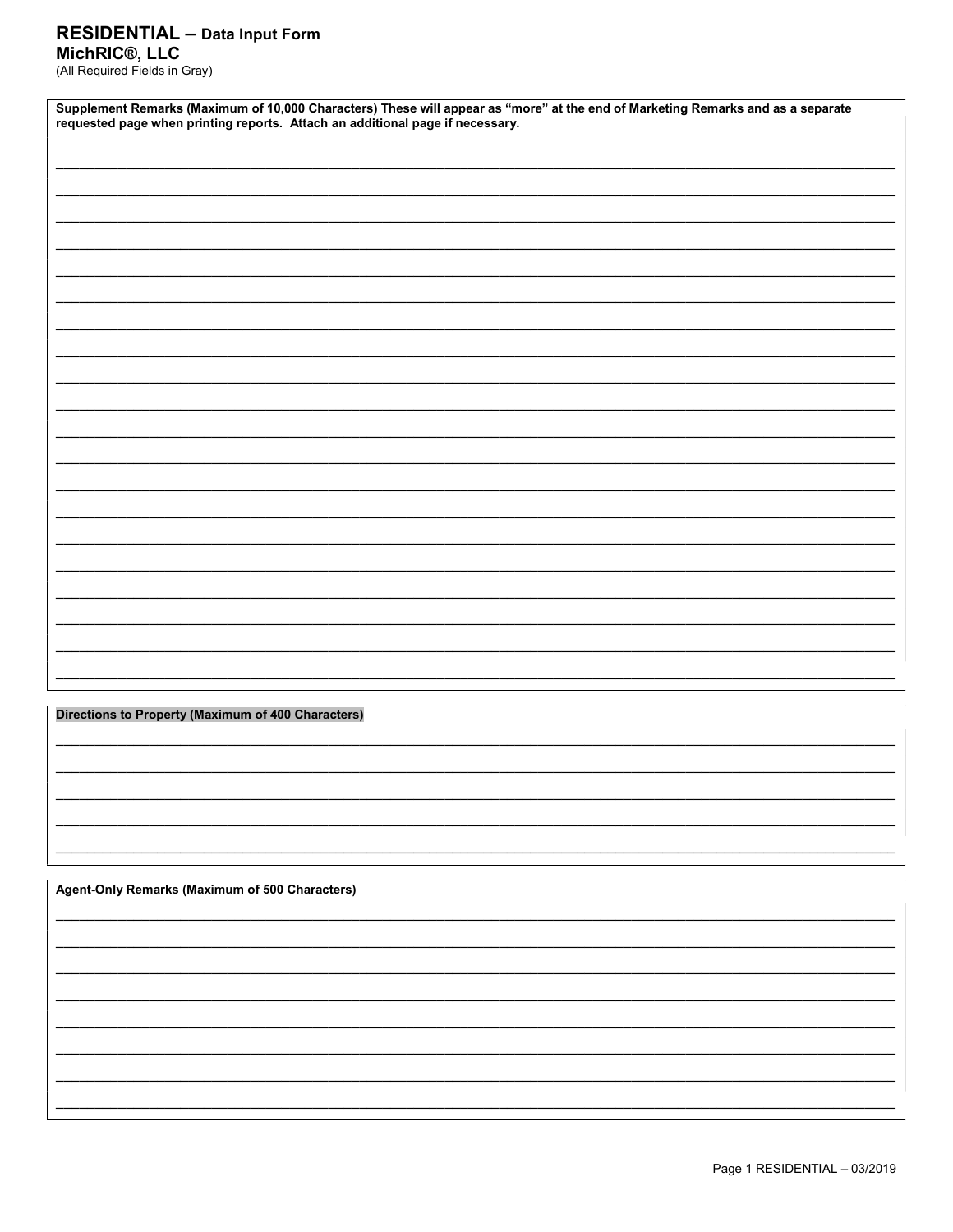### **RESIDENTIAL - Data Input Form** MichRIC<sup>®</sup>, LLC

(All Required Fields in Gray)

| Supplement Remarks (Maximum of 10,000 Characters) These will appear as "more" at the end of Marketing Remarks and as a separate requested page when printing reports. Attach an additional page if necessary. |  |  |  |  |
|---------------------------------------------------------------------------------------------------------------------------------------------------------------------------------------------------------------|--|--|--|--|
|                                                                                                                                                                                                               |  |  |  |  |
|                                                                                                                                                                                                               |  |  |  |  |
|                                                                                                                                                                                                               |  |  |  |  |
|                                                                                                                                                                                                               |  |  |  |  |
|                                                                                                                                                                                                               |  |  |  |  |
|                                                                                                                                                                                                               |  |  |  |  |
|                                                                                                                                                                                                               |  |  |  |  |
|                                                                                                                                                                                                               |  |  |  |  |
|                                                                                                                                                                                                               |  |  |  |  |
|                                                                                                                                                                                                               |  |  |  |  |
|                                                                                                                                                                                                               |  |  |  |  |
|                                                                                                                                                                                                               |  |  |  |  |
|                                                                                                                                                                                                               |  |  |  |  |
|                                                                                                                                                                                                               |  |  |  |  |
|                                                                                                                                                                                                               |  |  |  |  |

**Directions to Property (Maximum of 400 Characters)** 

Agent-Only Remarks (Maximum of 500 Characters)